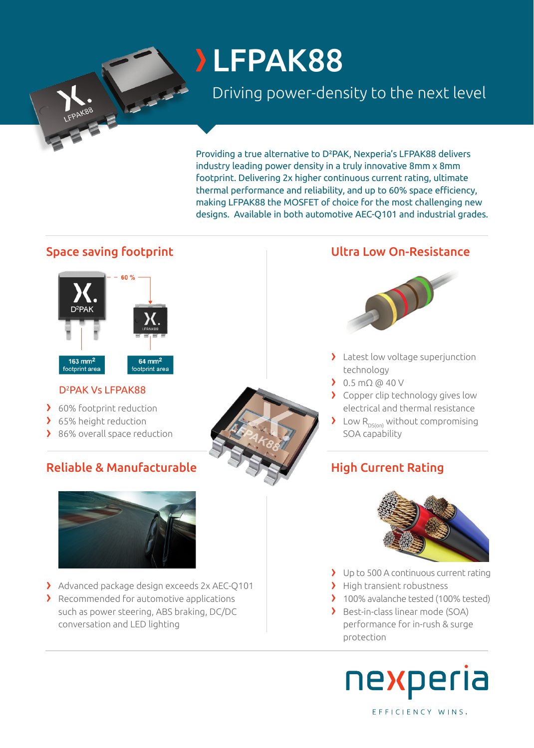# LFPAK88

# Driving power-density to the next level

Providing a true alternative to D²PAK, Nexperia's LFPAK88 delivers industry leading power density in a truly innovative 8mm x 8mm footprint. Delivering 2x higher continuous current rating, ultimate thermal performance and reliability, and up to 60% space efficiency, making LFPAK88 the MOSFET of choice for the most challenging new designs. Available in both automotive AEC-Q101 and industrial grades.



# D<sup>2</sup>PAK Vs LFPAK88

- › 60% footprint reduction
- > 65% height reduction
- > 86% overall space reduction

# Reliable & Manufacturable High Current Rating



- › Advanced package design exceeds 2x AEC-Q101
- › Recommended for automotive applications such as power steering, ABS braking, DC/DC conversation and LED lighting

# Space saving footprint The Community Constants Ultra Low On-Resistance



- > Latest low voltage superjunction technology
- › 0.5 mΩ @ 40 V
- › Copper clip technology gives low electrical and thermal resistance
- $\sum$  Low R<sub>DS(on)</sub> without compromising SOA capability



- › Up to 500 A continuous current rating
- > High transient robustness
- › 100% avalanche tested (100% tested)
- › Best-in-class linear mode (SOA) performance for in-rush & surge protection